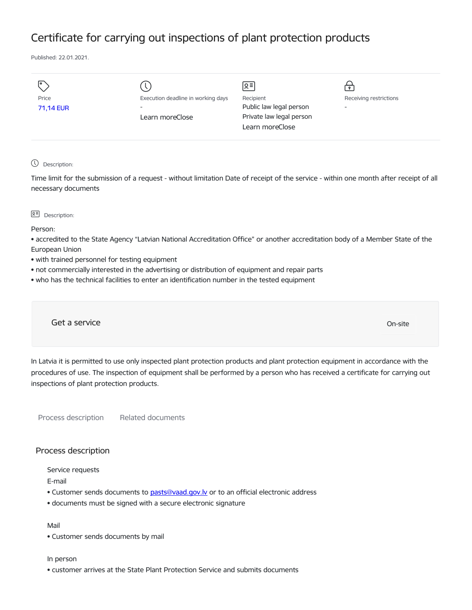# Certificate for carrying out inspections of plant protection products

Published: 22.01.2021.

|           |                                    | ∣ছ≣∣                     |                          |
|-----------|------------------------------------|--------------------------|--------------------------|
| Price     | Execution deadline in working days | Recipient                | Receiving restrictions   |
| 71,14 EUR | $\overline{\phantom{a}}$           | Public law legal person  | $\overline{\phantom{a}}$ |
|           | Learn moreClose                    | Private law legal person |                          |
|           |                                    | Learn moreClose          |                          |
|           |                                    |                          |                          |

#### Description:

Time limit for the submission of a request - without limitation Date of receipt of the service - within one month after receipt of all necessary documents

#### $\sqrt{2}$  Description:

Person:

• accredited to the State Agency "Latvian National Accreditation Office" or another accreditation body of a Member State of the European Union

- with trained personnel for testing equipment
- not commercially interested in the advertising or distribution of equipment and repair parts
- who has the technical facilities to enter an identification number in the tested equipment

Get a service On-site

In Latvia it is permitted to use only inspected plant protection products and plant protection equipment in accordance with the procedures of use. The inspection of equipment shall be performed by a person who has received a certificate for carrying out inspections of plant protection products.

Process description Related documents

## Process description

Service requests

E-mail

- Customer sends documents to [pasts@vaad.gov.lv](mailto:pasts@vaad.gov.lv) or to an official electronic address
- documents must be signed with a secure electronic signature

# Mail

• Customer sends documents by mail

#### In person

• customer arrives at the State Plant Protection Service and submits documents